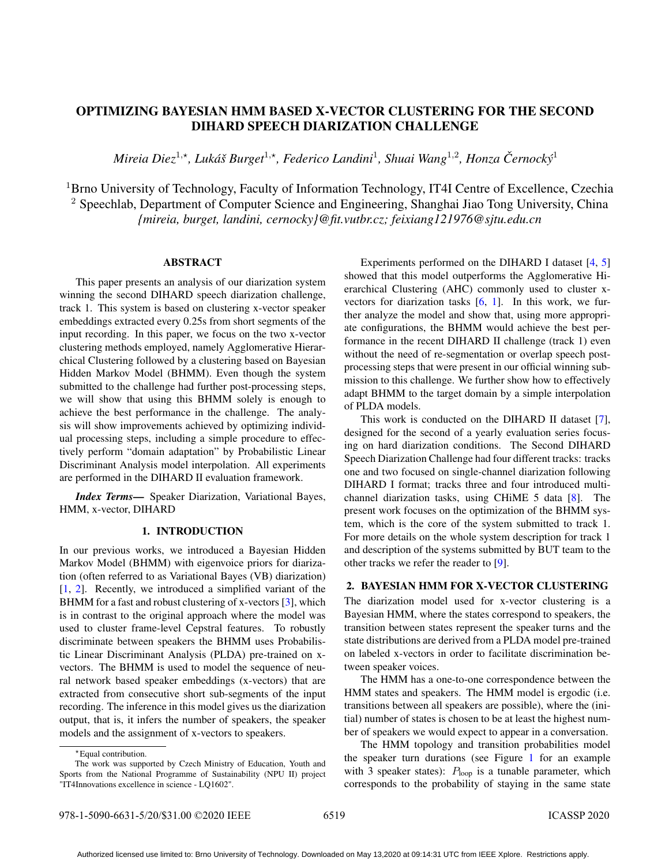# OPTIMIZING BAYESIAN HMM BASED X-VECTOR CLUSTERING FOR THE SECOND DIHARD SPEECH DIARIZATION CHALLENGE

*Mireia Diez*<sup>1</sup>,?*, Lukáš Burget*<sup>1</sup>,?*, Federico Landini*<sup>1</sup> *, Shuai Wang*<sup>1</sup>,<sup>2</sup> *, Honza Cernocký ˇ* <sup>1</sup>

<sup>1</sup>Brno University of Technology, Faculty of Information Technology, IT4I Centre of Excellence, Czechia <sup>2</sup> Speechlab, Department of Computer Science and Engineering, Shanghai Jiao Tong University, China *{mireia, burget, landini, cernocky}@fit.vutbr.cz; feixiang121976@sjtu.edu.cn*

## ABSTRACT

This paper presents an analysis of our diarization system winning the second DIHARD speech diarization challenge, track 1. This system is based on clustering x-vector speaker embeddings extracted every 0.25s from short segments of the input recording. In this paper, we focus on the two x-vector clustering methods employed, namely Agglomerative Hierarchical Clustering followed by a clustering based on Bayesian Hidden Markov Model (BHMM). Even though the system submitted to the challenge had further post-processing steps, we will show that using this BHMM solely is enough to achieve the best performance in the challenge. The analysis will show improvements achieved by optimizing individual processing steps, including a simple procedure to effectively perform "domain adaptation" by Probabilistic Linear Discriminant Analysis model interpolation. All experiments are performed in the DIHARD II evaluation framework.

*Index Terms*— Speaker Diarization, Variational Bayes, HMM, x-vector, DIHARD

# 1. INTRODUCTION

In our previous works, we introduced a Bayesian Hidden Markov Model (BHMM) with eigenvoice priors for diarization (often referred to as Variational Bayes (VB) diarization) [1, 2]. Recently, we introduced a simplified variant of the BHMM for a fast and robust clustering of x-vectors [3], which is in contrast to the original approach where the model was used to cluster frame-level Cepstral features. To robustly discriminate between speakers the BHMM uses Probabilistic Linear Discriminant Analysis (PLDA) pre-trained on xvectors. The BHMM is used to model the sequence of neural network based speaker embeddings (x-vectors) that are extracted from consecutive short sub-segments of the input recording. The inference in this model gives us the diarization output, that is, it infers the number of speakers, the speaker models and the assignment of x-vectors to speakers.

Experiments performed on the DIHARD I dataset [4, 5] showed that this model outperforms the Agglomerative Hierarchical Clustering (AHC) commonly used to cluster xvectors for diarization tasks  $[6, 1]$ . In this work, we further analyze the model and show that, using more appropriate configurations, the BHMM would achieve the best performance in the recent DIHARD II challenge (track 1) even without the need of re-segmentation or overlap speech postprocessing steps that were present in our official winning submission to this challenge. We further show how to effectively adapt BHMM to the target domain by a simple interpolation of PLDA models.

This work is conducted on the DIHARD II dataset [7], designed for the second of a yearly evaluation series focusing on hard diarization conditions. The Second DIHARD Speech Diarization Challenge had four different tracks: tracks one and two focused on single-channel diarization following DIHARD I format; tracks three and four introduced multichannel diarization tasks, using CHiME 5 data [8]. The present work focuses on the optimization of the BHMM system, which is the core of the system submitted to track 1. For more details on the whole system description for track 1 and description of the systems submitted by BUT team to the other tracks we refer the reader to [9].

# 2. BAYESIAN HMM FOR X-VECTOR CLUSTERING

The diarization model used for x-vector clustering is a Bayesian HMM, where the states correspond to speakers, the transition between states represent the speaker turns and the state distributions are derived from a PLDA model pre-trained on labeled x-vectors in order to facilitate discrimination between speaker voices.

The HMM has a one-to-one correspondence between the HMM states and speakers. The HMM model is ergodic (i.e. transitions between all speakers are possible), where the (initial) number of states is chosen to be at least the highest number of speakers we would expect to appear in a conversation.

The HMM topology and transition probabilities model the speaker turn durations (see Figure 1 for an example with 3 speaker states):  $P_{\text{loop}}$  is a tunable parameter, which corresponds to the probability of staying in the same state

<sup>?</sup>Equal contribution.

The work was supported by Czech Ministry of Education, Youth and Sports from the National Programme of Sustainability (NPU II) project "IT4Innovations excellence in science - LQ1602".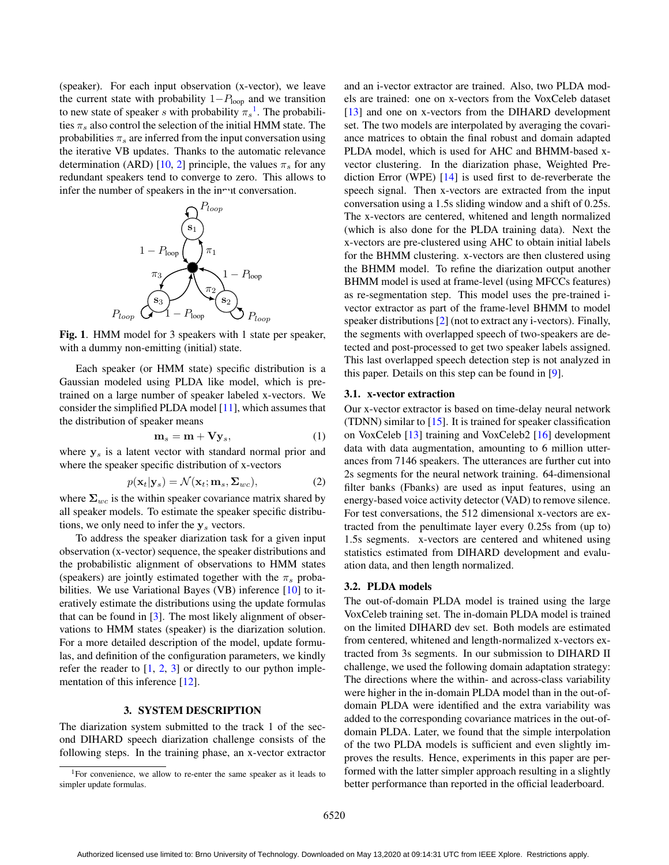(speaker). For each input observation (x-vector), we leave the current state with probability  $1-P_{\text{loop}}$  and we transition to new state of speaker s with probability  $\pi_s^{-1}$ . The probabilities  $\pi_s$  also control the selection of the initial HMM state. The probabilities  $\pi_s$  are inferred from the input conversation using the iterative VB updates. Thanks to the automatic relevance determination (ARD) [10, 2] principle, the values  $\pi_s$  for any redundant speakers tend to converge to zero. This allows to infer the number of speakers in the input conversation.



Fig. 1. HMM model for 3 speakers with 1 state per speaker, with a dummy non-emitting (initial) state.

Each speaker (or HMM state) specific distribution is a Gaussian modeled using PLDA like model, which is pretrained on a large number of speaker labeled x-vectors. We consider the simplified PLDA model [11], which assumes that the distribution of speaker means

$$
\mathbf{m}_s = \mathbf{m} + \mathbf{V} \mathbf{y}_s,\tag{1}
$$

where  $y_s$  is a latent vector with standard normal prior and where the speaker specific distribution of x-vectors

$$
p(\mathbf{x}_t|\mathbf{y}_s) = \mathcal{N}(\mathbf{x}_t; \mathbf{m}_s, \Sigma_{wc}),
$$
 (2)

where  $\Sigma_{wc}$  is the within speaker covariance matrix shared by all speaker models. To estimate the speaker specific distributions, we only need to infer the  $y_s$  vectors.

To address the speaker diarization task for a given input observation (x-vector) sequence, the speaker distributions and the probabilistic alignment of observations to HMM states (speakers) are jointly estimated together with the  $\pi_s$  probabilities. We use Variational Bayes (VB) inference [10] to iteratively estimate the distributions using the update formulas that can be found in [3]. The most likely alignment of observations to HMM states (speaker) is the diarization solution. For a more detailed description of the model, update formulas, and definition of the configuration parameters, we kindly refer the reader to  $[1, 2, 3]$  or directly to our python implementation of this inference [12].

## 3. SYSTEM DESCRIPTION

The diarization system submitted to the track 1 of the second DIHARD speech diarization challenge consists of the following steps. In the training phase, an x-vector extractor and an i-vector extractor are trained. Also, two PLDA models are trained: one on x-vectors from the VoxCeleb dataset [13] and one on x-vectors from the DIHARD development set. The two models are interpolated by averaging the covariance matrices to obtain the final robust and domain adapted PLDA model, which is used for AHC and BHMM-based xvector clustering. In the diarization phase, Weighted Prediction Error (WPE) [14] is used first to de-reverberate the speech signal. Then x-vectors are extracted from the input conversation using a 1.5s sliding window and a shift of 0.25s. The x-vectors are centered, whitened and length normalized (which is also done for the PLDA training data). Next the x-vectors are pre-clustered using AHC to obtain initial labels for the BHMM clustering. x-vectors are then clustered using the BHMM model. To refine the diarization output another BHMM model is used at frame-level (using MFCCs features) as re-segmentation step. This model uses the pre-trained ivector extractor as part of the frame-level BHMM to model speaker distributions [2] (not to extract any i-vectors). Finally, the segments with overlapped speech of two-speakers are detected and post-processed to get two speaker labels assigned. This last overlapped speech detection step is not analyzed in this paper. Details on this step can be found in [9].

# 3.1. x-vector extraction

Our x-vector extractor is based on time-delay neural network (TDNN) similar to [15]. It is trained for speaker classification on VoxCeleb [13] training and VoxCeleb2 [16] development data with data augmentation, amounting to 6 million utterances from 7146 speakers. The utterances are further cut into 2s segments for the neural network training. 64-dimensional filter banks (Fbanks) are used as input features, using an energy-based voice activity detector (VAD) to remove silence. For test conversations, the 512 dimensional x-vectors are extracted from the penultimate layer every 0.25s from (up to) 1.5s segments. x-vectors are centered and whitened using statistics estimated from DIHARD development and evaluation data, and then length normalized.

#### 3.2. PLDA models

The out-of-domain PLDA model is trained using the large VoxCeleb training set. The in-domain PLDA model is trained on the limited DIHARD dev set. Both models are estimated from centered, whitened and length-normalized x-vectors extracted from 3s segments. In our submission to DIHARD II challenge, we used the following domain adaptation strategy: The directions where the within- and across-class variability were higher in the in-domain PLDA model than in the out-ofdomain PLDA were identified and the extra variability was added to the corresponding covariance matrices in the out-ofdomain PLDA. Later, we found that the simple interpolation of the two PLDA models is sufficient and even slightly improves the results. Hence, experiments in this paper are performed with the latter simpler approach resulting in a slightly better performance than reported in the official leaderboard.

<sup>&</sup>lt;sup>1</sup>For convenience, we allow to re-enter the same speaker as it leads to simpler update formulas.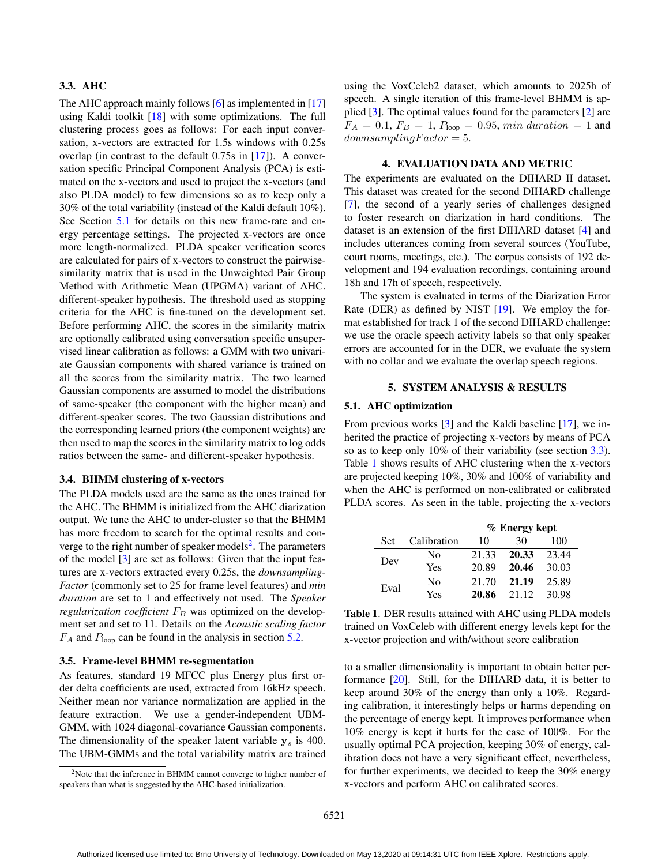## 3.3. AHC

The AHC approach mainly follows [6] as implemented in [17] using Kaldi toolkit  $[18]$  with some optimizations. The full clustering process goes as follows: For each input conversation, x-vectors are extracted for 1.5s windows with 0.25s overlap (in contrast to the default 0.75s in [17]). A conversation specific Principal Component Analysis (PCA) is estimated on the x-vectors and used to project the x-vectors (and also PLDA model) to few dimensions so as to keep only a 30% of the total variability (instead of the Kaldi default 10%). See Section 5.1 for details on this new frame-rate and energy percentage settings. The projected x-vectors are once more length-normalized. PLDA speaker verification scores are calculated for pairs of x-vectors to construct the pairwisesimilarity matrix that is used in the Unweighted Pair Group Method with Arithmetic Mean (UPGMA) variant of AHC. different-speaker hypothesis. The threshold used as stopping criteria for the AHC is fine-tuned on the development set. Before performing AHC, the scores in the similarity matrix are optionally calibrated using conversation specific unsupervised linear calibration as follows: a GMM with two univariate Gaussian components with shared variance is trained on all the scores from the similarity matrix. The two learned Gaussian components are assumed to model the distributions of same-speaker (the component with the higher mean) and different-speaker scores. The two Gaussian distributions and the corresponding learned priors (the component weights) are then used to map the scores in the similarity matrix to log odds ratios between the same- and different-speaker hypothesis.

# 3.4. BHMM clustering of x-vectors

The PLDA models used are the same as the ones trained for the AHC. The BHMM is initialized from the AHC diarization output. We tune the AHC to under-cluster so that the BHMM has more freedom to search for the optimal results and converge to the right number of speaker models<sup>2</sup>. The parameters of the model [3] are set as follows: Given that the input features are x-vectors extracted every 0.25s, the *downsampling-Factor* (commonly set to 25 for frame level features) and *min duration* are set to 1 and effectively not used. The *Speaker*  $regularization coefficient F<sub>B</sub>$  was optimized on the development set and set to 11. Details on the *Acoustic scaling factor*  $F_A$  and  $P_{\text{loop}}$  can be found in the analysis in section 5.2.

# 3.5. Frame-level BHMM re-segmentation

As features, standard 19 MFCC plus Energy plus first order delta coefficients are used, extracted from 16kHz speech. Neither mean nor variance normalization are applied in the feature extraction. We use a gender-independent UBM-GMM, with 1024 diagonal-covariance Gaussian components. The dimensionality of the speaker latent variable  $y_s$  is 400. The UBM-GMMs and the total variability matrix are trained using the VoxCeleb2 dataset, which amounts to 2025h of speech. A single iteration of this frame-level BHMM is applied [3]. The optimal values found for the parameters [2] are  $F_A = 0.1, F_B = 1, P_{loop} = 0.95, min duration = 1$  and  $downsamplingFactor = 5.$ 

#### 4. EVALUATION DATA AND METRIC

The experiments are evaluated on the DIHARD II dataset. This dataset was created for the second DIHARD challenge [7], the second of a yearly series of challenges designed to foster research on diarization in hard conditions. The dataset is an extension of the first DIHARD dataset [4] and includes utterances coming from several sources (YouTube, court rooms, meetings, etc.). The corpus consists of 192 development and 194 evaluation recordings, containing around 18h and 17h of speech, respectively.

The system is evaluated in terms of the Diarization Error Rate (DER) as defined by NIST [19]. We employ the format established for track 1 of the second DIHARD challenge: we use the oracle speech activity labels so that only speaker errors are accounted for in the DER, we evaluate the system with no collar and we evaluate the overlap speech regions.

## 5. SYSTEM ANALYSIS & RESULTS

#### 5.1. AHC optimization

From previous works [3] and the Kaldi baseline [17], we inherited the practice of projecting x-vectors by means of PCA so as to keep only 10% of their variability (see section 3.3). Table 1 shows results of AHC clustering when the x-vectors are projected keeping 10%, 30% and 100% of variability and when the AHC is performed on non-calibrated or calibrated PLDA scores. As seen in the table, projecting the x-vectors

|            |             | % Energy kept |       |       |
|------------|-------------|---------------|-------|-------|
| <b>Set</b> | Calibration | 10            | 30    | 100   |
| Dev        | No          | 21.33         | 20.33 | 23.44 |
|            | Yes         | 20.89         | 20.46 | 30.03 |
| Eval       | No          | 21.70         | 21.19 | 25.89 |
|            | Yes         | 20.86         | 21.12 | 30.98 |

Table 1. DER results attained with AHC using PLDA models trained on VoxCeleb with different energy levels kept for the x-vector projection and with/without score calibration

to a smaller dimensionality is important to obtain better performance [20]. Still, for the DIHARD data, it is better to keep around 30% of the energy than only a 10%. Regarding calibration, it interestingly helps or harms depending on the percentage of energy kept. It improves performance when 10% energy is kept it hurts for the case of 100%. For the usually optimal PCA projection, keeping 30% of energy, calibration does not have a very significant effect, nevertheless, for further experiments, we decided to keep the 30% energy x-vectors and perform AHC on calibrated scores.

<sup>2</sup>Note that the inference in BHMM cannot converge to higher number of speakers than what is suggested by the AHC-based initialization.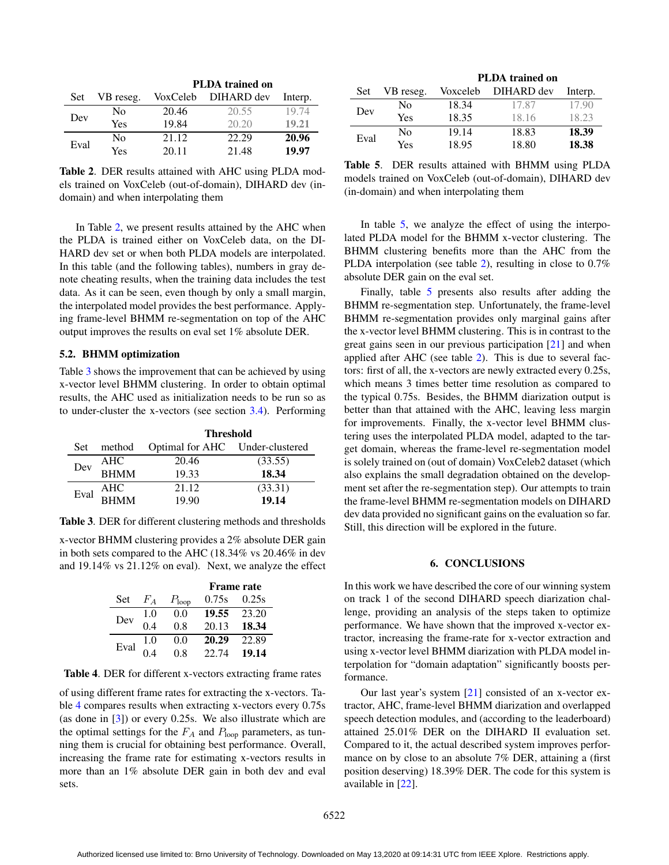|      |           | <b>PLDA</b> trained on |            |         |
|------|-----------|------------------------|------------|---------|
| Set  | VB reseg. | VoxCeleb               | DIHARD dev | Interp. |
| Dev  | No        | 20.46                  | 20.55      | 19.74   |
|      | Yes       | 19.84                  | 20.20      | 19.21   |
| Eval | No        | 21.12                  | 22.29      | 20.96   |
|      | Yes       | 20.11                  | 21.48      | 19.97   |

Table 2. DER results attained with AHC using PLDA models trained on VoxCeleb (out-of-domain), DIHARD dev (indomain) and when interpolating them

In Table 2, we present results attained by the AHC when the PLDA is trained either on VoxCeleb data, on the DI-HARD dev set or when both PLDA models are interpolated. In this table (and the following tables), numbers in gray denote cheating results, when the training data includes the test data. As it can be seen, even though by only a small margin, the interpolated model provides the best performance. Applying frame-level BHMM re-segmentation on top of the AHC output improves the results on eval set 1% absolute DER.

# 5.2. BHMM optimization

Table 3 shows the improvement that can be achieved by using x-vector level BHMM clustering. In order to obtain optimal results, the AHC used as initialization needs to be run so as to under-cluster the x-vectors (see section 3.4). Performing

|      |             | <b>Threshold</b>                       |         |  |
|------|-------------|----------------------------------------|---------|--|
| Set. |             | method Optimal for AHC Under-clustered |         |  |
| Dev  | AHC         | 20.46                                  | (33.55) |  |
|      | <b>BHMM</b> | 19.33                                  | 18.34   |  |
| Eval | AHC         | 21.12                                  | (33.31) |  |
|      | <b>BHMM</b> | 19.90                                  | 19.14   |  |

Table 3. DER for different clustering methods and thresholds

x-vector BHMM clustering provides a 2% absolute DER gain in both sets compared to the AHC (18.34% vs 20.46% in dev and 19.14% vs 21.12% on eval). Next, we analyze the effect

|      |       |                   | <b>Frame rate</b> |       |
|------|-------|-------------------|-------------------|-------|
| Set  | $F_A$ | $P_{\text{loop}}$ | 0.75s             | 0.25s |
| Dev  | 1.0   | 0.0               | 19.55             | 23.20 |
|      | 0.4   | 0.8               | 20.13             | 18.34 |
| Eval | 1.0   | 0.0               | 20.29             | 22.89 |
|      |       | 08                | 22.74             | 19.14 |

Table 4. DER for different x-vectors extracting frame rates

of using different frame rates for extracting the x-vectors. Table 4 compares results when extracting x-vectors every 0.75s (as done in [3]) or every 0.25s. We also illustrate which are the optimal settings for the  $F_A$  and  $P_{\text{loop}}$  parameters, as tunning them is crucial for obtaining best performance. Overall, increasing the frame rate for estimating x-vectors results in more than an 1% absolute DER gain in both dev and eval sets.

|            |           | <b>PLDA</b> trained on |            |         |
|------------|-----------|------------------------|------------|---------|
| <b>Set</b> | VB reseg. | Voxceleb               | DIHARD dev | Interp. |
| Dev        | No        | 18.34                  | 17.87      | 17.90   |
|            | Yes       | 18.35                  | 18.16      | 18.23   |
| Eval       | No        | 19.14                  | 18.83      | 18.39   |
|            | Yes       | 18.95                  | 18.80      | 18.38   |

Table 5. DER results attained with BHMM using PLDA models trained on VoxCeleb (out-of-domain), DIHARD dev (in-domain) and when interpolating them

In table 5, we analyze the effect of using the interpolated PLDA model for the BHMM x-vector clustering. The BHMM clustering benefits more than the AHC from the PLDA interpolation (see table 2), resulting in close to  $0.7\%$ absolute DER gain on the eval set.

Finally, table 5 presents also results after adding the BHMM re-segmentation step. Unfortunately, the frame-level BHMM re-segmentation provides only marginal gains after the x-vector level BHMM clustering. This is in contrast to the great gains seen in our previous participation [21] and when applied after AHC (see table 2). This is due to several factors: first of all, the x-vectors are newly extracted every 0.25s, which means 3 times better time resolution as compared to the typical 0.75s. Besides, the BHMM diarization output is better than that attained with the AHC, leaving less margin for improvements. Finally, the x-vector level BHMM clustering uses the interpolated PLDA model, adapted to the target domain, whereas the frame-level re-segmentation model is solely trained on (out of domain) VoxCeleb2 dataset (which also explains the small degradation obtained on the development set after the re-segmentation step). Our attempts to train the frame-level BHMM re-segmentation models on DIHARD dev data provided no significant gains on the evaluation so far. Still, this direction will be explored in the future.

## 6. CONCLUSIONS

In this work we have described the core of our winning system on track 1 of the second DIHARD speech diarization challenge, providing an analysis of the steps taken to optimize performance. We have shown that the improved x-vector extractor, increasing the frame-rate for x-vector extraction and using x-vector level BHMM diarization with PLDA model interpolation for "domain adaptation" significantly boosts performance.

Our last year's system [21] consisted of an x-vector extractor, AHC, frame-level BHMM diarization and overlapped speech detection modules, and (according to the leaderboard) attained 25.01% DER on the DIHARD II evaluation set. Compared to it, the actual described system improves performance on by close to an absolute 7% DER, attaining a (first position deserving) 18.39% DER. The code for this system is available in [22].